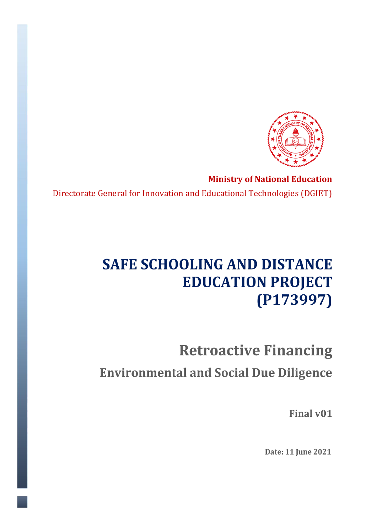

 **Ministry of National Education** Directorate General for Innovation and Educational Technologies (DGIET)

## **SAFE SCHOOLING AND DISTANCE EDUCATION PROJECT**  $(P173997)$

# **Retroactive Financing Environmental and Social Due Diligence**

Final v01

Date: 11 June 2021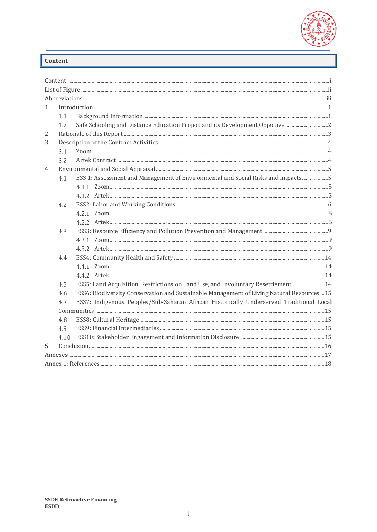

### <span id="page-1-0"></span>Content

| $\mathbf{1}$ |      |                                                                                            |  |  |  |
|--------------|------|--------------------------------------------------------------------------------------------|--|--|--|
|              | 1.1  |                                                                                            |  |  |  |
|              | 1.2. | Safe Schooling and Distance Education Project and its Development Objective                |  |  |  |
| 2            |      |                                                                                            |  |  |  |
| 3            |      |                                                                                            |  |  |  |
|              | 3.1  |                                                                                            |  |  |  |
|              | 3.2  |                                                                                            |  |  |  |
| 4            |      |                                                                                            |  |  |  |
|              | 4.1  | ESS 1: Assessment and Management of Environmental and Social Risks and Impacts5            |  |  |  |
|              |      |                                                                                            |  |  |  |
|              |      |                                                                                            |  |  |  |
|              | 4.2  |                                                                                            |  |  |  |
|              |      |                                                                                            |  |  |  |
|              |      |                                                                                            |  |  |  |
|              | 4.3  |                                                                                            |  |  |  |
|              |      |                                                                                            |  |  |  |
|              |      |                                                                                            |  |  |  |
|              | 4.4  |                                                                                            |  |  |  |
|              |      |                                                                                            |  |  |  |
|              |      |                                                                                            |  |  |  |
|              | 4.5  | ESS5: Land Acquisition, Restrictions on Land Use, and Involuntary Resettlement 14          |  |  |  |
|              | 4.6  | ESS6: Biodiversity Conservation and Sustainable Management of Living Natural Resources  15 |  |  |  |
|              | 4.7  | ESS7: Indigenous Peoples/Sub-Saharan African Historically Underserved Traditional Local    |  |  |  |
|              |      |                                                                                            |  |  |  |
|              | 4.8  |                                                                                            |  |  |  |
|              | 4.9  |                                                                                            |  |  |  |
|              | 4.10 |                                                                                            |  |  |  |
| 5.           |      |                                                                                            |  |  |  |
|              |      |                                                                                            |  |  |  |
|              |      |                                                                                            |  |  |  |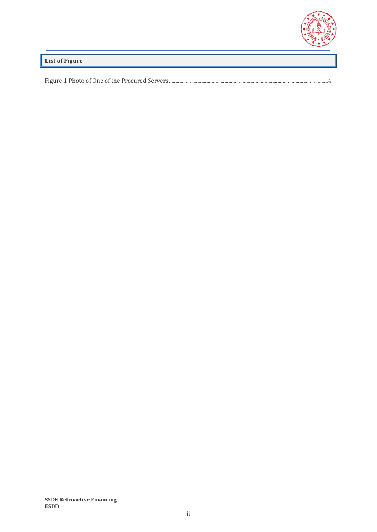

<span id="page-2-0"></span>**List of Figure**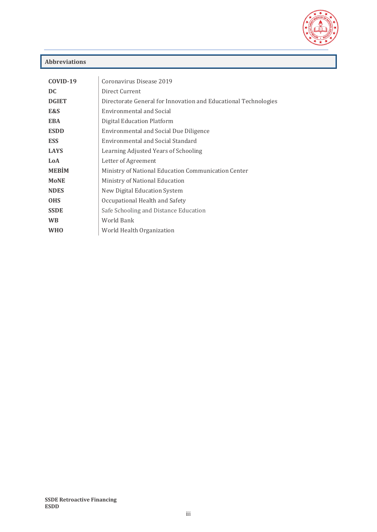

### <span id="page-3-0"></span>**Abbreviations**

| COVID-19     | Coronavirus Disease 2019                                        |  |  |
|--------------|-----------------------------------------------------------------|--|--|
| DC           | Direct Current                                                  |  |  |
| <b>DGIET</b> | Directorate General for Innovation and Educational Technologies |  |  |
| E&S          | Environmental and Social                                        |  |  |
| <b>EBA</b>   | Digital Education Platform                                      |  |  |
| <b>ESDD</b>  | <b>Environmental and Social Due Diligence</b>                   |  |  |
| <b>ESS</b>   | Environmental and Social Standard                               |  |  |
| <b>LAYS</b>  | Learning Adjusted Years of Schooling                            |  |  |
| LoA          | Letter of Agreement                                             |  |  |
| <b>MEBIM</b> | Ministry of National Education Communication Center             |  |  |
| <b>MoNE</b>  | Ministry of National Education                                  |  |  |
| <b>NDES</b>  | New Digital Education System                                    |  |  |
| <b>OHS</b>   | Occupational Health and Safety                                  |  |  |
| <b>SSDE</b>  | Safe Schooling and Distance Education                           |  |  |
| <b>WB</b>    | World Bank                                                      |  |  |
| <b>WHO</b>   | World Health Organization                                       |  |  |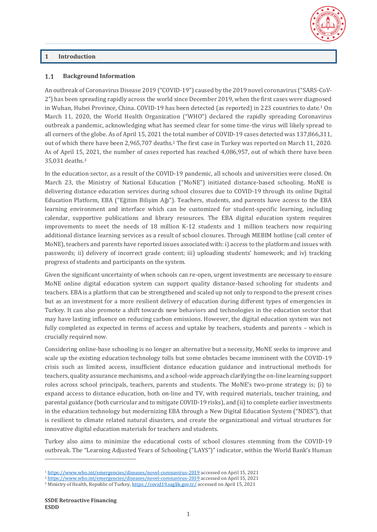### <span id="page-4-0"></span>**1 Introduction**

#### <span id="page-4-1"></span>**Background Information**  $1.1$

An outbreak of Coronavirus Disease 2019 ("COVID-19") caused by the 2019 novel coronavirus ("SARS-CoV-2") has been spreading rapidly across the world since December 2019, when the first cases were diagnosed in Wuhan, Hubei Province, China. COVID-19 has been detected (as reported) in 223 countries to date.<sup>1</sup> On March 11, 2020, the World Health Organization ("WHO") declared the rapidly spreading Coronavirus outbreak a pandemic, acknowledging what has seemed clear for some time-the virus will likely spread to all corners of the globe. As of April 15, 2021 the total number of COVID-19 cases detected was 137,866,311, out of which there have been 2,965,707 deaths.<sup>2</sup> The first case in Turkey was reported on March 11, 2020. As of April 15, 2021, the number of cases reported has reached 4,086,957, out of which there have been 35,031 deaths.<sup>3</sup>

In the education sector, as a result of the COVID-19 pandemic, all schools and universities were closed. On March 23, the Ministry of National Education ("MoNE") initiated distance-based schooling. MoNE is delivering distance education services during school closures due to COVID-19 through its online Digital Education Platform, EBA ("Eğitim Bilişim Ağı"). Teachers, students, and parents have access to the EBA learning environment and interface which can be customized for student-specific learning, including calendar, supportive publications and library resources. The EBA digital education system requires improvements to meet the needs of 18 million K-12 students and 1 million teachers now requiring additional distance learning services as a result of school closures. Through MEBIM hotline (call center of MoNE), teachers and parents have reported issues associated with: i) access to the platform and issues with passwords; ii) delivery of incorrect grade content; iii) uploading students' homework; and iv) tracking progress of students and participants on the system.

Given the significant uncertainty of when schools can re-open, urgent investments are necessary to ensure MoNE online digital education system can support quality distance-based schooling for students and teachers. EBA is a platform that can be strengthened and scaled up not only to respond to the present crises but as an investment for a more resilient delivery of education during different types of emergencies in Turkey. It can also promote a shift towards new behaviors and technologies in the education sector that may have lasting influence on reducing carbon emissions. However, the digital education system was not fully completed as expected in terms of access and uptake by teachers, students and parents – which is crucially required now.

Considering online-base schooling is no longer an alternative but a necessity, MoNE seeks to improve and scale up the existing education technology tolls but some obstacles became imminent with the COVID-19 crisis such as limited access, insufficient distance education guidance and instructional methods for teachers, quality assurance mechanisms, and a school-wide approach clarifying the on-line learning support roles across school principals, teachers, parents and students. The MoNE's two-prone strategy is; (i) to expand access to distance education, both on-line and TV, with required materials, teacher training, and parental guidance (both curricular and to mitigate COVID-19 risks), and (ii) to complete earlier investments in the education technology but modernizing EBA through a New Digital Education System ("NDES"), that is resilient to climate related natural disasters, and create the organizational and virtual structures for innovative digital education materials for teachers and students.

Turkey also aims to minimize the educational costs of school closures stemming from the COVID-19 outbreak. The "Learning Adjusted Years of Schooling ("LAYS")" indicator, within the World Bank's Human

<sup>1</sup> <https://www.who.int/emergencies/diseases/novel-coronavirus-2019> accessed on April 15, 2021

<sup>2</sup> <https://www.who.int/emergencies/diseases/novel-coronavirus-2019> accessed on April 15, 2021

<sup>3</sup> Ministry of Health, Republic of Turkey[, https://covid19.saglik.gov.tr/](https://covid19.saglik.gov.tr/) accessed on April 15, 2021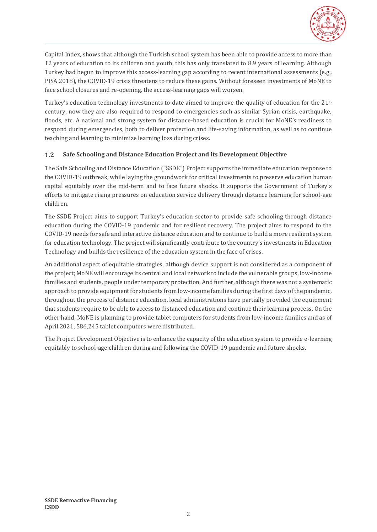

Capital Index, shows that although the Turkish school system has been able to provide access to more than 12 years of education to its children and youth, this has only translated to 8.9 years of learning. Although Turkey had begun to improve this access-learning gap according to recent international assessments (e.g., PISA 2018), the COVID-19 crisis threatens to reduce these gains. Without foreseen investments of MoNE to face school closures and re-opening, the access-learning gaps will worsen.

Turkey's education technology investments to-date aimed to improve the quality of education for the 21st century, now they are also required to respond to emergencies such as similar Syrian crisis, earthquake, floods, etc. A national and strong system for distance-based education is crucial for MoNE's readiness to respond during emergencies, both to deliver protection and life-saving information, as well as to continue teaching and learning to minimize learning loss during crises.

#### <span id="page-5-0"></span> $1.2$ **Safe Schooling and Distance Education Project and its Development Objective**

The Safe Schooling and Distance Education ("SSDE") Project supports the immediate education response to the COVID-19 outbreak, while laying the groundwork for critical investments to preserve education human capital equitably over the mid-term and to face future shocks. It supports the Government of Turkey's efforts to mitigate rising pressures on education service delivery through distance learning for school-age children.

The SSDE Project aims to support Turkey's education sector to provide safe schooling through distance education during the COVID-19 pandemic and for resilient recovery. The project aims to respond to the COVID-19 needs for safe and interactive distance education and to continue to build a more resilient system for education technology. The project will significantly contribute to the country's investments in Education Technology and builds the resilience of the education system in the face of crises.

An additional aspect of equitable strategies, although device support is not considered as a component of the project; MoNE will encourage its central and local network to include the vulnerable groups, low-income families and students, people under temporary protection. And further, although there was not a systematic approach to provide equipment for students from low-income families during the first days of the pandemic, throughout the process of distance education, local administrations have partially provided the equipment that students require to be able to access to distanced education and continue their learning process. On the other hand, MoNE is planning to provide tablet computers for students from low-income families and as of April 2021, 586,245 tablet computers were distributed.

The Project Development Objective is to enhance the capacity of the education system to provide e-learning equitably to school-age children during and following the COVID-19 pandemic and future shocks.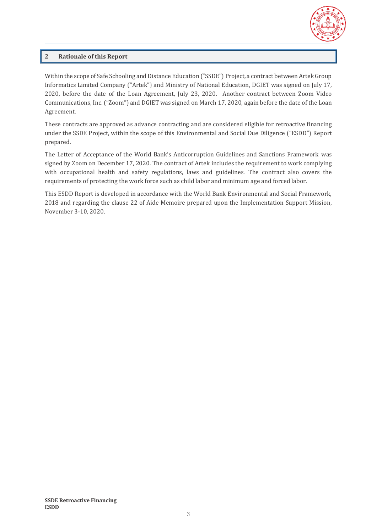

### <span id="page-6-0"></span>**2 Rationale of this Report**

Within the scope of Safe Schooling and Distance Education ("SSDE") Project, a contract between Artek Group Informatics Limited Company ("Artek") and Ministry of National Education, DGIET was signed on July 17, 2020, before the date of the Loan Agreement, July 23, 2020. Another contract between Zoom Video Communications, Inc. ("Zoom") and DGIET was signed on March 17, 2020, again before the date of the Loan Agreement.

These contracts are approved as advance contracting and are considered eligible for retroactive financing under the SSDE Project, within the scope of this Environmental and Social Due Diligence ("ESDD") Report prepared.

The Letter of Acceptance of the World Bank's Anticorruption Guidelines and Sanctions Framework was signed by Zoom on December 17, 2020. The contract of Artek includes the requirement to work complying with occupational health and safety regulations, laws and guidelines. The contract also covers the requirements of protecting the work force such as child labor and minimum age and forced labor.

This ESDD Report is developed in accordance with the World Bank Environmental and Social Framework, 2018 and regarding the clause 22 of Aide Memoire prepared upon the Implementation Support Mission, November 3-10, 2020.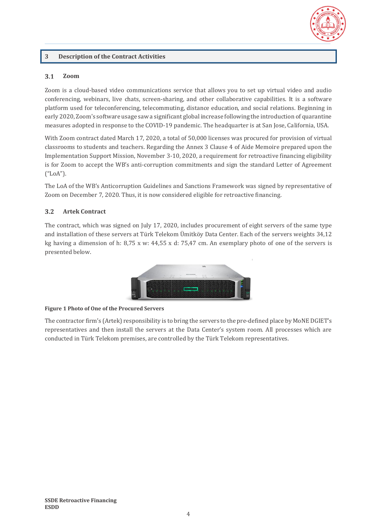

### <span id="page-7-0"></span>**3 Description of the Contract Activities**

#### <span id="page-7-1"></span> $3.1$ **Zoom**

Zoom is a cloud-based video communications service that allows you to set up virtual video and audio conferencing, webinars, live chats, screen-sharing, and other collaborative capabilities. It is a software platform used for teleconferencing, telecommuting, distance education, and social relations. Beginning in early 2020, Zoom's software usage saw a significant global increase following the introduction of quarantine measures adopted in response to the COVID-19 pandemic. The headquarter is at San Jose, California, USA.

With Zoom contract dated March 17, 2020, a total of 50,000 licenses was procured for provision of virtual classrooms to students and teachers. Regarding the Annex 3 Clause 4 of Aide Memoire prepared upon the Implementation Support Mission, November 3-10, 2020, a requirement for retroactive financing eligibility is for Zoom to accept the WB's anti-corruption commitments and sign the standard Letter of Agreement ("LoA").

The LoA of the WB's Anticorruption Guidelines and Sanctions Framework was signed by representative of Zoom on December 7, 2020. Thus, it is now considered eligible for retroactive financing.

#### <span id="page-7-2"></span> $3.2$ **Artek Contract**

The contract, which was signed on July 17, 2020, includes procurement of eight servers of the same type and installation of these servers at Türk Telekom Ümitköy Data Center. Each of the servers weights 34,12 kg having a dimension of h: 8,75 x w: 44,55 x d: 75,47 cm. An exemplary photo of one of the servers is presented below.



#### <span id="page-7-3"></span>**Figure 1 Photo of One of the Procured Servers**

The contractor firm's (Artek) responsibility is to bring the servers to the pre-defined place by MoNE DGIET's representatives and then install the servers at the Data Center's system room. All processes which are conducted in Türk Telekom premises, are controlled by the Türk Telekom representatives.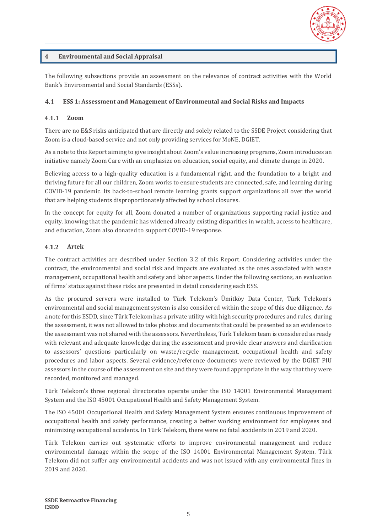

### <span id="page-8-0"></span>**4 Environmental and Social Appraisal**

The following subsections provide an assessment on the relevance of contract activities with the World Bank's Environmental and Social Standards (ESSs).

#### <span id="page-8-1"></span> $4.1$ **ESS 1: Assessment and Management of Environmental and Social Risks and Impacts**

#### <span id="page-8-2"></span> $4.1.1$ **Zoom**

There are no E&S risks anticipated that are directly and solely related to the SSDE Project considering that Zoom is a cloud-based service and not only providing services for MoNE, DGIET.

As a note to this Report aiming to give insight about Zoom's value increasing programs, Zoom introduces an initiative namely Zoom Care with an emphasize on education, social equity, and climate change in 2020.

Believing access to a high-quality education is a fundamental right, and the foundation to a bright and thriving future for all our children, Zoom works to ensure students are connected, safe, and learning during COVID-19 pandemic. Its back-to-school remote learning grants support organizations all over the world that are helping students disproportionately affected by school closures.

In the concept for equity for all, Zoom donated a number of organizations supporting racial justice and equity. knowing that the pandemic has widened already existing disparities in wealth, access to healthcare, and education, Zoom also donated to support COVID-19 response.

#### <span id="page-8-3"></span> $4.1.2$ **Artek**

The contract activities are described under Section [3.2](#page-7-2) of this Report. Considering activities under the contract, the environmental and social risk and impacts are evaluated as the ones associated with waste management, occupational health and safety and labor aspects. Under the following sections, an evaluation of firms' status against these risks are presented in detail considering each ESS.

As the procured servers were installed to Türk Telekom's Ümitköy Data Center, Türk Telekom's environmental and social management system is also considered within the scope of this due diligence. As a note for this ESDD, since Türk Telekom has a private utility with high security procedures and rules, during the assessment, it was not allowed to take photos and documents that could be presented as an evidence to the assessment was not shared with the assessors. Nevertheless, Türk Telekom team is considered as ready with relevant and adequate knowledge during the assessment and provide clear answers and clarification to assessors' questions particularly on waste/recycle management, occupational health and safety procedures and labor aspects. Several evidence/reference documents were reviewed by the DGIET PIU assessors in the course of the assessment on site and they were found appropriate in the way that they were recorded, monitored and managed.

Türk Telekom's three regional directorates operate under the ISO 14001 Environmental Management System and the ISO 45001 Occupational Health and Safety Management System.

The ISO 45001 Occupational Health and Safety Management System ensures continuous improvement of occupational health and safety performance, creating a better working environment for employees and minimizing occupational accidents. In Türk Telekom, there were no fatal accidents in 2019 and 2020.

Türk Telekom carries out systematic efforts to improve environmental management and reduce environmental damage within the scope of the ISO 14001 Environmental Management System. Türk Telekom did not suffer any environmental accidents and was not issued with any environmental fines in 2019 and 2020.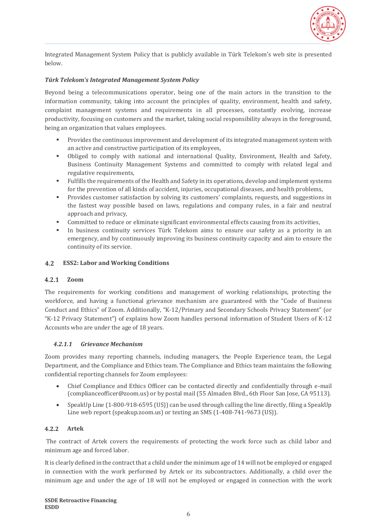

Integrated Management System Policy that is publicly available in Türk Telekom's web site is presented below.

#### *Türk Telekom's Integrated Management System Policy*

Beyond being a telecommunications operator, being one of the main actors in the transition to the information community, taking into account the principles of quality, environment, health and safety, complaint management systems and requirements in all processes, constantly evolving, increase productivity, focusing on customers and the market, taking social responsibility always in the foreground, being an organization that values employees.

- Provides the continuous improvement and development of its integrated management system with an active and constructive participation of its employees,
- Obliged to comply with national and international Quality, Environment, Health and Safety, Business Continuity Management Systems and committed to comply with related legal and regulative requirements,
- Fulfills the requirements of the Health and Safety in its operations, develop and implement systems for the prevention of all kinds of accident, injuries, occupational diseases, and health problems,
- Provides customer satisfaction by solving its customers' complaints, requests, and suggestions in the fastest way possible based on laws, regulations and company rules, in a fair and neutral approach and privacy,
- Committed to reduce or eliminate significant environmental effects causing from its activities,
- In business continuity services Türk Telekom aims to ensure our safety as a priority in an emergency, and by continuously improving its business continuity capacity and aim to ensure the continuity of its service.

#### <span id="page-9-0"></span> $4.2$ **ESS2: Labor and Working Conditions**

#### <span id="page-9-1"></span> $4.2.1$ **Zoom**

The requirements for working conditions and management of working relationships, protecting the workforce, and having a functional grievance mechanism are guaranteed with the "Code of Business Conduct and Ethics" of Zoom. Additionally, "K-12/Primary and Secondary Schools Privacy Statement" (or "K-12 Privacy Statement") of explains how Zoom handles personal information of Student Users of K-12 Accounts who are under the age of 18 years.

#### *4.2.1.1 Grievance Mechanism*

Zoom provides many reporting channels, including managers, the People Experience team, the Legal Department, and the Compliance and Ethics team. The Compliance and Ethics team maintains the following confidential reporting channels for Zoom employees:

- Chief Compliance and Ethics Officer can be contacted directly and confidentially through e-mail [\(complianceofficer@zoom.us\)](mailto:complianceofficer@zoom.us) or by postal mail (55 Almaden Blvd., 6th Floor San Jose, CA 95113).
- SpeakUp Line (1-800-918-6595 (US)) can be used through calling the line directly, filing a SpeakUp Line web report (speakup.zoom.us) or texting an SMS (1-408-741-9673 (US)).

#### <span id="page-9-2"></span> $4.2.2$ **Artek**

The contract of Artek covers the requirements of protecting the work force such as child labor and minimum age and forced labor.

It is clearly defined in the contract that a child under the minimum age of 14 will not be employed or engaged in connection with the work performed by Artek or its subcontractors. Additionally, a child over the minimum age and under the age of 18 will not be employed or engaged in connection with the work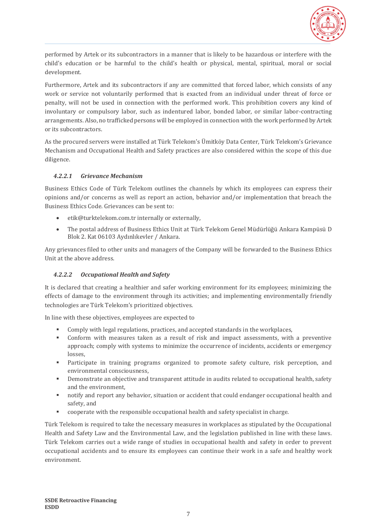

performed by Artek or its subcontractors in a manner that is likely to be hazardous or interfere with the child's education or be harmful to the child's health or physical, mental, spiritual, moral or social development.

Furthermore, Artek and its subcontractors if any are committed that forced labor, which consists of any work or service not voluntarily performed that is exacted from an individual under threat of force or penalty, will not be used in connection with the performed work. This prohibition covers any kind of involuntary or compulsory labor, such as indentured labor, bonded labor, or similar labor-contracting arrangements. Also, no trafficked persons will be employed in connection with the work performed by Artek or its subcontractors.

As the procured servers were installed at Türk Telekom's Ümitköy Data Center, Türk Telekom's Grievance Mechanism and Occupational Health and Safety practices are also considered within the scope of this due diligence.

### *4.2.2.1 Grievance Mechanism*

Business Ethics Code of Türk Telekom outlines the channels by which its employees can express their opinions and/or concerns as well as report an action, behavior and/or implementation that breach the Business Ethics Code. Grievances can be sent to:

- [etik@turktelekom.com.tr](mailto:etik@turktelekom.com.tr) internally or externally,
- The postal address of Business Ethics Unit at Türk Telekom Genel Müdürlüğü Ankara Kampüsü D Blok 2. Kat 06103 Aydınlıkevler / Ankara.

Any grievances filed to other units and managers of the Company will be forwarded to the Business Ethics Unit at the above address.

### *4.2.2.2 Occupational Health and Safety*

It is declared that creating a healthier and safer working environment for its employees; minimizing the effects of damage to the environment through its activities; and implementing environmentally friendly technologies are Türk Telekom's prioritized objectives.

In line with these objectives, employees are expected to

- Comply with legal regulations, practices, and accepted standards in the workplaces,
- Conform with measures taken as a result of risk and impact assessments, with a preventive approach; comply with systems to minimize the occurrence of incidents, accidents or emergency losses,
- Participate in training programs organized to promote safety culture, risk perception, and environmental consciousness,
- Demonstrate an objective and transparent attitude in audits related to occupational health, safety and the environment,
- notify and report any behavior, situation or accident that could endanger occupational health and safety, and
- cooperate with the responsible occupational health and safety specialist in charge.

Türk Telekom is required to take the necessary measures in workplaces as stipulated by the Occupational Health and Safety Law and the Environmental Law, and the legislation published in line with these laws. Türk Telekom carries out a wide range of studies in occupational health and safety in order to prevent occupational accidents and to ensure its employees can continue their work in a safe and healthy work environment.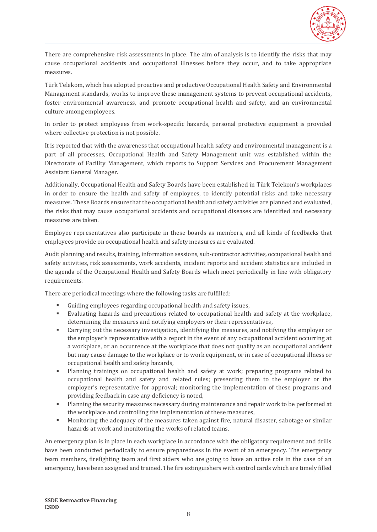

There are comprehensive risk assessments in place. The aim of analysis is to identify the risks that may cause occupational accidents and occupational illnesses before they occur, and to take appropriate measures.

Türk Telekom, which has adopted proactive and productive Occupational Health Safety and Environmental Management standards, works to improve these management systems to prevent occupational accidents, foster environmental awareness, and promote occupational health and safety, and an environmental culture among employees.

In order to protect employees from work-specific hazards, personal protective equipment is provided where collective protection is not possible.

It is reported that with the awareness that occupational health safety and environmental management is a part of all processes, Occupational Health and Safety Management unit was established within the Directorate of Facility Management, which reports to Support Services and Procurement Management Assistant General Manager.

Additionally, Occupational Health and Safety Boards have been established in Türk Telekom's workplaces in order to ensure the health and safety of employees, to identify potential risks and take necessary measures. These Boards ensure that the occupational health and safety activities are planned and evaluated, the risks that may cause occupational accidents and occupational diseases are identified and necessary measures are taken.

Employee representatives also participate in these boards as members, and all kinds of feedbacks that employees provide on occupational health and safety measures are evaluated.

Audit planning and results, training, information sessions, sub-contractor activities, occupational health and safety activities, risk assessments, work accidents, incident reports and accident statistics are included in the agenda of the Occupational Health and Safety Boards which meet periodically in line with obligatory requirements.

There are periodical meetings where the following tasks are fulfilled:

- Guiding employees regarding occupational health and safety issues,
- Evaluating hazards and precautions related to occupational health and safety at the workplace, determining the measures and notifying employers or their representatives,
- Carrying out the necessary investigation, identifying the measures, and notifying the employer or the employer's representative with a report in the event of any occupational accident occurring at a workplace, or an occurrence at the workplace that does not qualify as an occupational accident but may cause damage to the workplace or to work equipment, or in case of occupational illness or occupational health and safety hazards,
- Planning trainings on occupational health and safety at work; preparing programs related to occupational health and safety and related rules; presenting them to the employer or the employer's representative for approval; monitoring the implementation of these programs and providing feedback in case any deficiency is noted,
- **Planning the security measures necessary during maintenance and repair work to be performed at** the workplace and controlling the implementation of these measures,
- Monitoring the adequacy of the measures taken against fire, natural disaster, sabotage or similar hazards at work and monitoring the works of related teams.

An emergency plan is in place in each workplace in accordance with the obligatory requirement and drills have been conducted periodically to ensure preparedness in the event of an emergency. The emergency team members, firefighting team and first aiders who are going to have an active role in the case of an emergency, have been assigned and trained. The fire extinguishers with control cards which are timely filled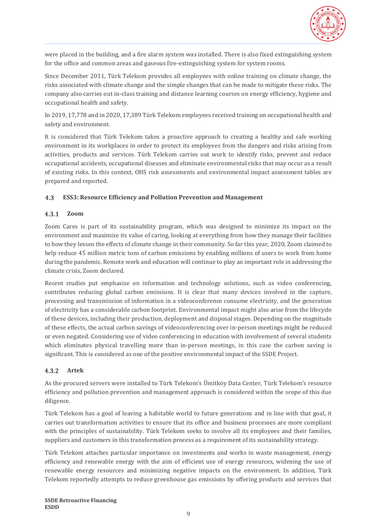

were placed in the building, and a fire alarm system was installed. There is also fixed extinguishing system for the office and common areas and gaseous fire-extinguishing system for system rooms.

Since December 2011, Türk Telekom provides all employees with online training on climate change, the risks associated with climate change and the simple changes that can be made to mitigate these risks. The company also carries out in-class training and distance learning courses on energy efficiency, hygiene and occupational health and safety.

In 2019, 17,778 and in 2020, 17,389 Türk Telekom employees received training on occupational health and safety and environment.

It is considered that Türk Telekom takes a proactive approach to creating a healthy and safe working environment in its workplaces in order to protect its employees from the dangers and risks arising from activities, products and services. Türk Telekom carries out work to identify risks, prevent and reduce occupational accidents, occupational diseases and eliminate environmental risks that may occur as a result of existing risks. In this context, OHS risk assessments and environmental impact assessment tables are prepared and reported.

#### <span id="page-12-0"></span> $4.3$ **ESS3: Resource Efficiency and Pollution Prevention and Management**

#### <span id="page-12-1"></span> $4.3.1$ **Zoom**

Zoom Cares is part of its sustainability program, which was designed to minimize its impact on the environment and maximize its value of caring, looking at everything from how they manage their facilities to how they lessen the effects of climate change in their community. So far this year, 2020, Zoom claimed to help reduce 45 million metric tons of carbon emissions by enabling millions of users to work from home during the pandemic. Remote work and education will continue to play an important role in addressing the climate crisis, Zoom declared.

Recent studies put emphasize on information and technology solutions, such as video conferencing, contributes reducing global carbon emissions. It is clear that many devices involved in the capture, processing and transmission of information in a videoconference consume electricity, and the generation of electricity has a considerable carbon footprint. Environmental impact might also arise from the lifecycle of these devices, including their production, deployment and disposal stages. Depending on the magnitude of these effects, the actual carbon savings of videoconferencing over in-person meetings might be reduced or even negated. Considering use of video conferencing in education with involvement of several students which eliminates physical travelling more than in-person meetings, in this case the carbon saving is significant. This is considered as one of the positive environmental impact of the SSDE Project.

#### <span id="page-12-2"></span> $4.3.2$ **Artek**

As the procured servers were installed to Türk Telekom's Ümitköy Data Center, Türk Telekom's resource efficiency and pollution prevention and management approach is considered within the scope of this due diligence.

Türk Telekom has a goal of leaving a habitable world to future generations and in line with that goal, it carries out transformation activities to ensure that its office and business processes are more compliant with the principles of sustainability. Türk Telekom seeks to involve all its employees and their families, suppliers and customers in this transformation process as a requirement of its sustainability strategy.

Türk Telekom attaches particular importance on investments and works in waste management, energy efficiency and renewable energy with the aim of efficient use of energy resources, widening the use of renewable energy resources and minimizing negative impacts on the environment. In addition, Türk Telekom reportedly attempts to reduce greenhouse gas emissions by offering products and services that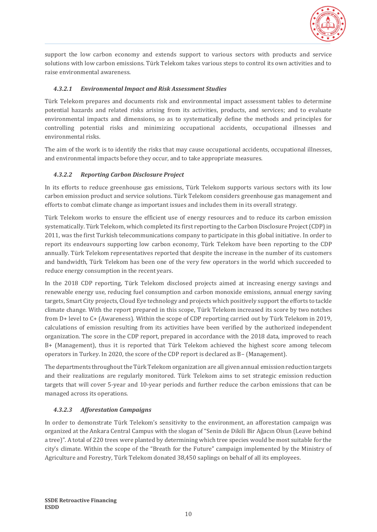

support the low carbon economy and extends support to various sectors with products and service solutions with low carbon emissions. Türk Telekom takes various steps to control its own activities and to raise environmental awareness.

### *4.3.2.1 Environmental Impact and Risk Assessment Studies*

Türk Telekom prepares and documents risk and environmental impact assessment tables to determine potential hazards and related risks arising from its activities, products, and services; and to evaluate environmental impacts and dimensions, so as to systematically define the methods and principles for controlling potential risks and minimizing occupational accidents, occupational illnesses and environmental risks.

The aim of the work is to identify the risks that may cause occupational accidents, occupational illnesses, and environmental impacts before they occur, and to take appropriate measures.

### *4.3.2.2 Reporting Carbon Disclosure Project*

In its efforts to reduce greenhouse gas emissions, Türk Telekom supports various sectors with its low carbon emission product and service solutions. Türk Telekom considers greenhouse gas management and efforts to combat climate change as important issues and includes them in its overall strategy.

Türk Telekom works to ensure the efficient use of energy resources and to reduce its carbon emission systematically. Türk Telekom, which completed its first reporting to the Carbon Disclosure Project (CDP) in 2011, was the first Turkish telecommunications company to participate in this global initiative. In order to report its endeavours supporting low carbon economy, Türk Telekom have been reporting to the CDP annually. Türk Telekom representatives reported that despite the increase in the number of its customers and bandwidth, Türk Telekom has been one of the very few operators in the world which succeeded to reduce energy consumption in the recent years.

In the 2018 CDP reporting, Türk Telekom disclosed projects aimed at increasing energy savings and renewable energy use, reducing fuel consumption and carbon monoxide emissions, annual energy saving targets, Smart City projects, Cloud Eye technology and projects which positively support the efforts to tackle climate change. With the report prepared in this scope, Türk Telekom increased its score by two notches from D+ level to C+ (Awareness). Within the scope of CDP reporting carried out by Türk Telekom in 2019, calculations of emission resulting from its activities have been verified by the authorized independent organization. The score in the CDP report, prepared in accordance with the 2018 data, improved to reach B+ (Management), thus it is reported that Türk Telekom achieved the highest score among telecom operators in Turkey. In 2020, the score of the CDP report is declared as B– (Management).

The departments throughout the Türk Telekom organization are all given annual emission reduction targets and their realizations are regularly monitored. Türk Telekom aims to set strategic emission reduction targets that will cover 5-year and 10-year periods and further reduce the carbon emissions that can be managed across its operations.

### *4.3.2.3 Afforestation Campaigns*

In order to demonstrate Türk Telekom's sensitivity to the environment, an afforestation campaign was organized at the Ankara Central Campus with the slogan of "Senin de Dikili Bir Ağacın Olsun (Leave behind a tree)". A total of 220 trees were planted by determining which tree species would be most suitable for the city's climate. Within the scope of the "Breath for the Future" campaign implemented by the Ministry of Agriculture and Forestry, Türk Telekom donated 38,450 saplings on behalf of all its employees.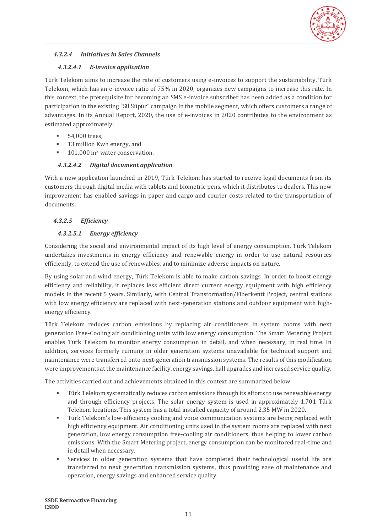

### *4.3.2.4 Initiatives in Sales Channels*

### *4.3.2.4.1 E-invoice application*

Türk Telekom aims to increase the rate of customers using e-invoices to support the sustainability. Türk Telekom, which has an e-invoice ratio of 75% in 2020, organizes new campaigns to increase this rate. In this context, the prerequisite for becoming an SMS e-invoice subscriber has been added as a condition for participation in the existing "Sil Süpür" campaign in the mobile segment, which offers customers a range of advantages. In its Annual Report, 2020, the use of e-invoices in 2020 contributes to the environment as estimated approximately:

- 54,000 trees.
- 13 million Kwh energy, and
- $101,000$  m<sup>3</sup> water conservation.

### *4.3.2.4.2 Digital document application*

With a new application launched in 2019, Türk Telekom has started to receive legal documents from its customers through digital media with tablets and biometric pens, which it distributes to dealers. This new improvement has enabled savings in paper and cargo and courier costs related to the transportation of documents.

### *4.3.2.5 Efficiency*

### *4.3.2.5.1 Energy efficiency*

Considering the social and environmental impact of its high level of energy consumption, Türk Telekom undertakes investments in energy efficiency and renewable energy in order to use natural resources efficiently, to extend the use of renewables, and to minimize adverse impacts on nature.

By using solar and wind energy, Türk Telekom is able to make carbon savings. In order to boost energy efficiency and reliability, it replaces less efficient direct current energy equipment with high efficiency models in the recent 5 years. Similarly, with Central Transformation/Fiberkentt Project, central stations with low energy efficiency are replaced with next-generation stations and outdoor equipment with highenergy efficiency.

Türk Telekom reduces carbon emissions by replacing air conditioners in system rooms with next generation Free-Cooling air conditioning units with low energy consumption. The Smart Metering Project enables Türk Telekom to monitor energy consumption in detail, and when necessary, in real time. In addition, services formerly running in older generation systems unavailable for technical support and maintenance were transferred onto next-generation transmission systems. The results of this modification were improvements at the maintenance facility, energy savings, hall upgrades and increased service quality.

The activities carried out and achievements obtained in this context are summarized below:

- Türk Telekom systematically reduces carbon emissions through its efforts to use renewable energy and through efficiency projects. The solar energy system is used in approximately 1,701 Türk Telekom locations. This system has a total installed capacity of around 2.35 MW in 2020.
- **•** Türk Telekom's low-efficiency cooling and voice communication systems are being replaced with high efficiency equipment. Air conditioning units used in the system rooms are replaced with next generation, low energy consumption free-cooling air conditioners, thus helping to lower carbon emissions. With the Smart Metering project, energy consumption can be monitored real-time and in detail when necessary.
- Services in older generation systems that have completed their technological useful life are transferred to next generation transmission systems, thus providing ease of maintenance and operation, energy savings and enhanced service quality.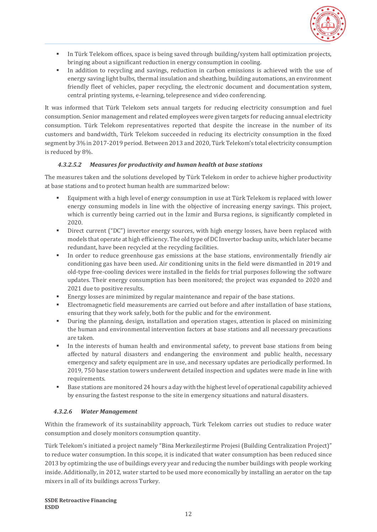

- **•** In Türk Telekom offices, space is being saved through building/system hall optimization projects, bringing about a significant reduction in energy consumption in cooling.
- In addition to recycling and savings, reduction in carbon emissions is achieved with the use of energy saving light bulbs, thermal insulation and sheathing, building automations, an environment friendly fleet of vehicles, paper recycling, the electronic document and documentation system, central printing systems, e-learning, telepresence and video conferencing.

It was informed that Türk Telekom sets annual targets for reducing electricity consumption and fuel consumption. Senior management and related employees were given targets for reducing annual electricity consumption. Türk Telekom representatives reported that despite the increase in the number of its customers and bandwidth, Türk Telekom succeeded in reducing its electricity consumption in the fixed segment by 3% in 2017-2019 period. Between 2013 and 2020, Türk Telekom's total electricity consumption is reduced by 8%.

### *4.3.2.5.2 Measures for productivity and human health at base stations*

The measures taken and the solutions developed by Türk Telekom in order to achieve higher productivity at base stations and to protect human health are summarized below:

- Equipment with a high level of energy consumption in use at Türk Telekom is replaced with lower energy consuming models in line with the objective of increasing energy savings. This project, which is currently being carried out in the *lamir* and Bursa regions, is significantly completed in 2020.
- **•** Direct current ("DC") invertor energy sources, with high energy losses, have been replaced with models that operate at high efficiency. The old type of DC Invertor backup units, which later became redundant, have been recycled at the recycling facilities.
- In order to reduce greenhouse gas emissions at the base stations, environmentally friendly air conditioning gas have been used. Air conditioning units in the field were dismantled in 2019 and old-type free-cooling devices were installed in the fields for trial purposes following the software updates. Their energy consumption has been monitored; the project was expanded to 2020 and 2021 due to positive results.
- **Energy losses are minimized by regular maintenance and repair of the base stations.**
- Electromagnetic field measurements are carried out before and after installation of base stations, ensuring that they work safely, both for the public and for the environment.
- During the planning, design, installation and operation stages, attention is placed on minimizing the human and environmental intervention factors at base stations and all necessary precautions are taken.
- In the interests of human health and environmental safety, to prevent base stations from being affected by natural disasters and endangering the environment and public health, necessary emergency and safety equipment are in use, and necessary updates are periodically performed. In 2019, 750 base station towers underwent detailed inspection and updates were made in line with requirements.
- Base stations are monitored 24 hours a day with the highest level of operational capability achieved by ensuring the fastest response to the site in emergency situations and natural disasters.

### *4.3.2.6 Water Management*

Within the framework of its sustainability approach, Türk Telekom carries out studies to reduce water consumption and closely monitors consumption quantity.

Türk Telekom's initiated a project namely "Bina Merkezileştirme Projesi (Building Centralization Project)" to reduce water consumption. In this scope, it is indicated that water consumption has been reduced since 2013 by optimizing the use of buildings every year and reducing the number buildings with people working inside. Additionally, in 2012, water started to be used more economically by installing an aerator on the tap mixers in all of its buildings across Turkey.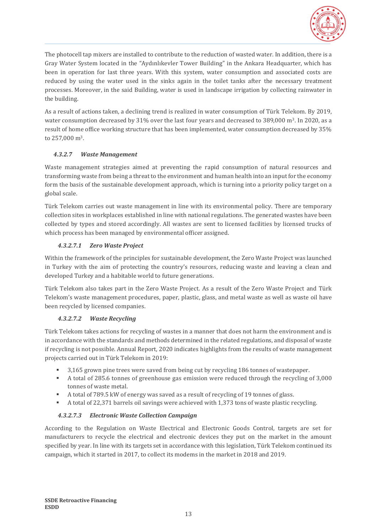

The photocell tap mixers are installed to contribute to the reduction of wasted water. In addition, there is a Gray Water System located in the "Aydınlıkevler Tower Building" in the Ankara Headquarter, which has been in operation for last three years. With this system, water consumption and associated costs are reduced by using the water used in the sinks again in the toilet tanks after the necessary treatment processes. Moreover, in the said Building, water is used in landscape irrigation by collecting rainwater in the building.

As a result of actions taken, a declining trend is realized in water consumption of Türk Telekom. By 2019, water consumption decreased by 31% over the last four years and decreased to 389,000 m<sup>3</sup>. In 2020, as a result of home office working structure that has been implemented, water consumption decreased by 35% to 257,000 m3.

### *4.3.2.7 Waste Management*

Waste management strategies aimed at preventing the rapid consumption of natural resources and transforming waste from being a threat to the environment and human health into an input for the economy form the basis of the sustainable development approach, which is turning into a priority policy target on a global scale.

Türk Telekom carries out waste management in line with its environmental policy. There are temporary collection sites in workplaces established in line with national regulations. The generated wastes have been collected by types and stored accordingly. All wastes are sent to licensed facilities by licensed trucks of which process has been managed by environmental officer assigned.

### *4.3.2.7.1 Zero Waste Project*

Within the framework of the principles for sustainable development, the Zero Waste Project was launched in Turkey with the aim of protecting the country's resources, reducing waste and leaving a clean and developed Turkey and a habitable world to future generations.

Türk Telekom also takes part in the Zero Waste Project. As a result of the Zero Waste Project and Türk Telekom's waste management procedures, paper, plastic, glass, and metal waste as well as waste oil have been recycled by licensed companies.

### *4.3.2.7.2 Waste Recycling*

Türk Telekom takes actions for recycling of wastes in a manner that does not harm the environment and is in accordance with the standards and methods determined in the related regulations, and disposal of waste if recycling is not possible. Annual Report, 2020 indicates highlights from the results of waste management projects carried out in Türk Telekom in 2019:

- 3,165 grown pine trees were saved from being cut by recycling 186 tonnes of wastepaper.
- A total of 285.6 tonnes of greenhouse gas emission were reduced through the recycling of 3,000 tonnes of waste metal.
- A total of 789.5 kW of energy was saved as a result of recycling of 19 tonnes of glass.
- A total of 22,371 barrels oil savings were achieved with 1,373 tons of waste plastic recycling.

### *4.3.2.7.3 Electronic Waste Collection Campaign*

According to the Regulation on Waste Electrical and Electronic Goods Control, targets are set for manufacturers to recycle the electrical and electronic devices they put on the market in the amount specified by year. In line with its targets set in accordance with this legislation, Türk Telekom continued its campaign, which it started in 2017, to collect its modems in the market in 2018 and 2019.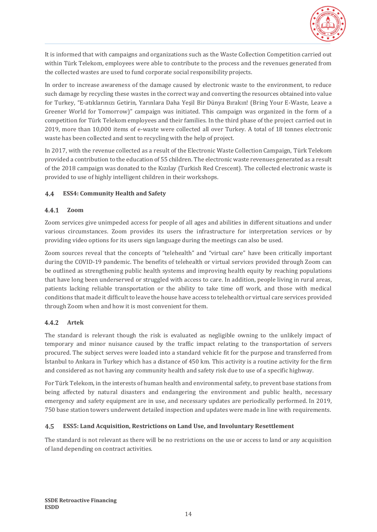

It is informed that with campaigns and organizations such as the Waste Collection Competition carried out within Türk Telekom, employees were able to contribute to the process and the revenues generated from the collected wastes are used to fund corporate social responsibility projects.

In order to increase awareness of the damage caused by electronic waste to the environment, to reduce such damage by recycling these wastes in the correct way and converting the resources obtained into value for Turkey, "E-atıklarınızı Getirin, Yarınlara Daha Yeşil Bir Dünya Bırakın! (Bring Your E-Waste, Leave a Greener World for Tomorrow)" campaign was initiated. This campaign was organized in the form of a competition for Türk Telekom employees and their families. In the third phase of the project carried out in 2019, more than 10,000 items of e-waste were collected all over Turkey. A total of 18 tonnes electronic waste has been collected and sent to recycling with the help of project.

In 2017, with the revenue collected as a result of the Electronic Waste Collection Campaign, Türk Telekom provided a contribution to the education of 55 children. The electronic waste revenues generated as a result of the 2018 campaign was donated to the Kızılay (Turkish Red Crescent). The collected electronic waste is provided to use of highly intelligent children in their workshops.

#### <span id="page-17-0"></span> $4.4$ **ESS4: Community Health and Safety**

#### <span id="page-17-1"></span> $4.4.1$ **Zoom**

Zoom services give unimpeded access for people of all ages and abilities in different situations and under various circumstances. Zoom provides its users the infrastructure for interpretation services or by providing video options for its users sign language during the meetings can also be used.

Zoom sources reveal that the concepts of "telehealth" and "virtual care" have been critically important during the COVID-19 pandemic. The benefits of telehealth or virtual services provided through Zoom can be outlined as strengthening public health systems and improving health equity by reaching populations that have long been underserved or struggled with access to care. In addition, people living in rural areas, patients lacking reliable transportation or the ability to take time off work, and those with medical conditions that made it difficult to leave the house have access to telehealth or virtual care services provided through Zoom when and how it is most convenient for them.

#### <span id="page-17-2"></span> $4.4.2$ **Artek**

The standard is relevant though the risk is evaluated as negligible owning to the unlikely impact of temporary and minor nuisance caused by the traffic impact relating to the transportation of servers procured. The subject serves were loaded into a standard vehicle fit for the purpose and transferred from İstanbul to Ankara in Turkey which has a distance of 450 km. This activity is a routine activity for the firm and considered as not having any community health and safety risk due to use of a specific highway.

For Türk Telekom, in the interests of human health and environmental safety, to prevent base stations from being affected by natural disasters and endangering the environment and public health, necessary emergency and safety equipment are in use, and necessary updates are periodically performed. In 2019, 750 base station towers underwent detailed inspection and updates were made in line with requirements.

#### <span id="page-17-3"></span> $4.5$ **ESS5: Land Acquisition, Restrictions on Land Use, and Involuntary Resettlement**

The standard is not relevant as there will be no restrictions on the use or access to land or any acquisition of land depending on contract activities.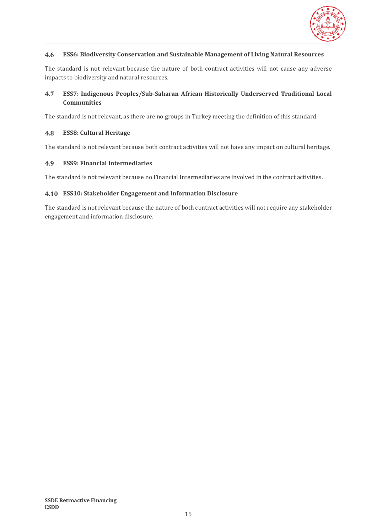

#### <span id="page-18-0"></span>4.6 **ESS6: Biodiversity Conservation and Sustainable Management of Living Natural Resources**

The standard is not relevant because the nature of both contract activities will not cause any adverse impacts to biodiversity and natural resources.

#### <span id="page-18-1"></span>**ESS7: Indigenous Peoples/Sub-Saharan African Historically Underserved Traditional Local**  4.7 **Communities**

The standard is not relevant, as there are no groups in Turkey meeting the definition of this standard.

#### <span id="page-18-2"></span>4.8 **ESS8: Cultural Heritage**

The standard is not relevant because both contract activities will not have any impact on cultural heritage.

#### <span id="page-18-3"></span>4.9 **ESS9: Financial Intermediaries**

The standard is not relevant because no Financial Intermediaries are involved in the contract activities.

#### <span id="page-18-4"></span>**ESS10: Stakeholder Engagement and Information Disclosure**

The standard is not relevant because the nature of both contract activities will not require any stakeholder engagement and information disclosure.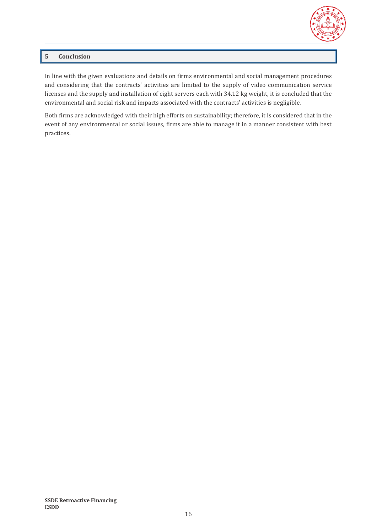

### <span id="page-19-0"></span>**5 Conclusion**

In line with the given evaluations and details on firms environmental and social management procedures and considering that the contracts' activities are limited to the supply of video communication service licenses and the supply and installation of eight servers each with 34.12 kg weight, it is concluded that the environmental and social risk and impacts associated with the contracts' activities is negligible.

Both firms are acknowledged with their high efforts on sustainability; therefore, it is considered that in the event of any environmental or social issues, firms are able to manage it in a manner consistent with best practices.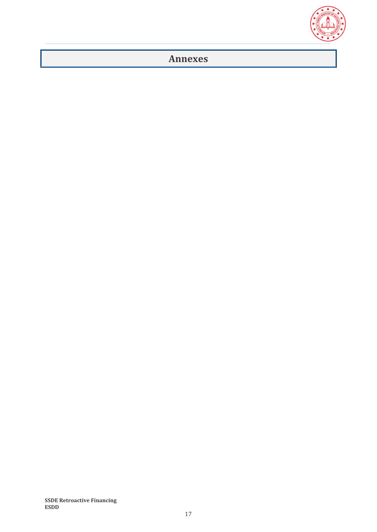

## <span id="page-20-0"></span>**Annexes**